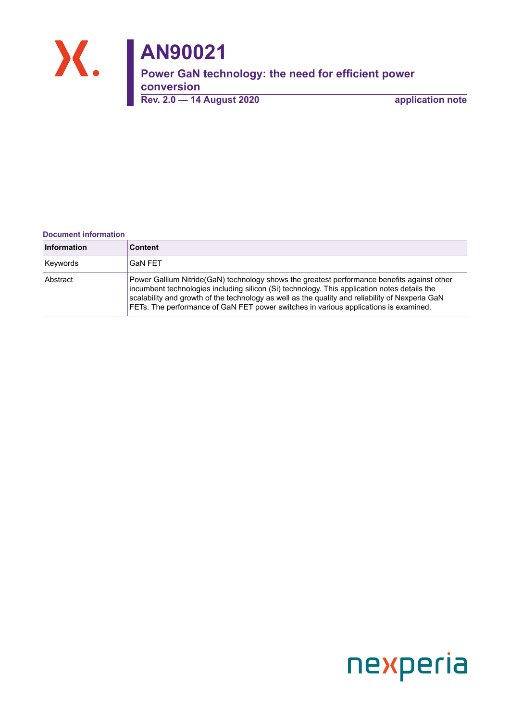# **AN90021**

**Power GaN technology: the need for efficient power conversion Rev. 2.0 — 14 August 2020 application note**

#### **Document information**

| Information | <b>Content</b>                                                                                                                                                                                                                                                                                                                                                                          |
|-------------|-----------------------------------------------------------------------------------------------------------------------------------------------------------------------------------------------------------------------------------------------------------------------------------------------------------------------------------------------------------------------------------------|
| Keywords    | <b>GaN FET</b>                                                                                                                                                                                                                                                                                                                                                                          |
| Abstract    | Power Gallium Nitride (GaN) technology shows the greatest performance benefits against other<br>incumbent technologies including silicon (Si) technology. This application notes details the<br>scalability and growth of the technology as well as the quality and reliability of Nexperia GaN<br>FETs. The performance of GaN FET power switches in various applications is examined. |

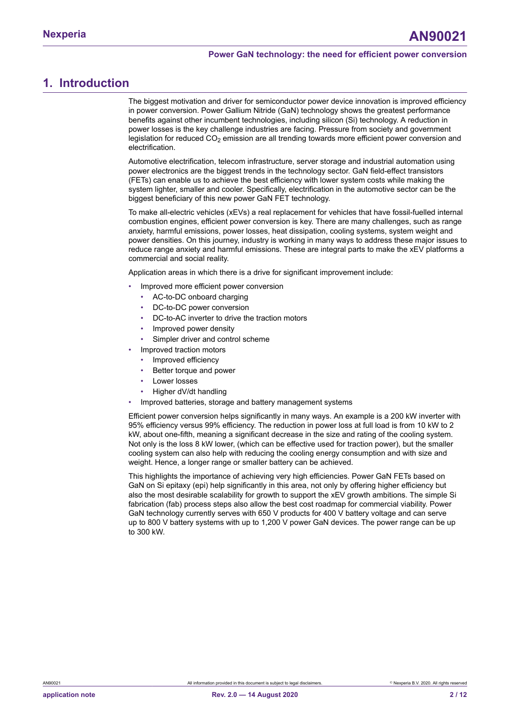### <span id="page-1-0"></span>**1. Introduction**

The biggest motivation and driver for semiconductor power device innovation is improved efficiency in power conversion. Power Gallium Nitride (GaN) technology shows the greatest performance benefits against other incumbent technologies, including silicon (Si) technology. A reduction in power losses is the key challenge industries are facing. Pressure from society and government legislation for reduced  $CO<sub>2</sub>$  emission are all trending towards more efficient power conversion and electrification.

Automotive electrification, telecom infrastructure, server storage and industrial automation using power electronics are the biggest trends in the technology sector. GaN field-effect transistors (FETs) can enable us to achieve the best efficiency with lower system costs while making the system lighter, smaller and cooler. Specifically, electrification in the automotive sector can be the biggest beneficiary of this new power GaN FET technology.

To make all-electric vehicles (xEVs) a real replacement for vehicles that have fossil-fuelled internal combustion engines, efficient power conversion is key. There are many challenges, such as range anxiety, harmful emissions, power losses, heat dissipation, cooling systems, system weight and power densities. On this journey, industry is working in many ways to address these major issues to reduce range anxiety and harmful emissions. These are integral parts to make the xEV platforms a commercial and social reality.

Application areas in which there is a drive for significant improvement include:

- Improved more efficient power conversion
	- AC-to-DC onboard charging
	- DC-to-DC power conversion
	- DC-to-AC inverter to drive the traction motors
	- Improved power density
	- Simpler driver and control scheme
- Improved traction motors
	- Improved efficiency
	- Better torque and power
	- Lower losses
	- Higher dV/dt handling
- Improved batteries, storage and battery management systems

Efficient power conversion helps significantly in many ways. An example is a 200 kW inverter with 95% efficiency versus 99% efficiency. The reduction in power loss at full load is from 10 kW to 2 kW, about one-fifth, meaning a significant decrease in the size and rating of the cooling system. Not only is the loss 8 kW lower, (which can be effective used for traction power), but the smaller cooling system can also help with reducing the cooling energy consumption and with size and weight. Hence, a longer range or smaller battery can be achieved.

This highlights the importance of achieving very high efficiencies. Power GaN FETs based on GaN on Si epitaxy (epi) help significantly in this area, not only by offering higher efficiency but also the most desirable scalability for growth to support the xEV growth ambitions. The simple Si fabrication (fab) process steps also allow the best cost roadmap for commercial viability. Power GaN technology currently serves with 650 V products for 400 V battery voltage and can serve up to 800 V battery systems with up to 1,200 V power GaN devices. The power range can be up to 300 kW.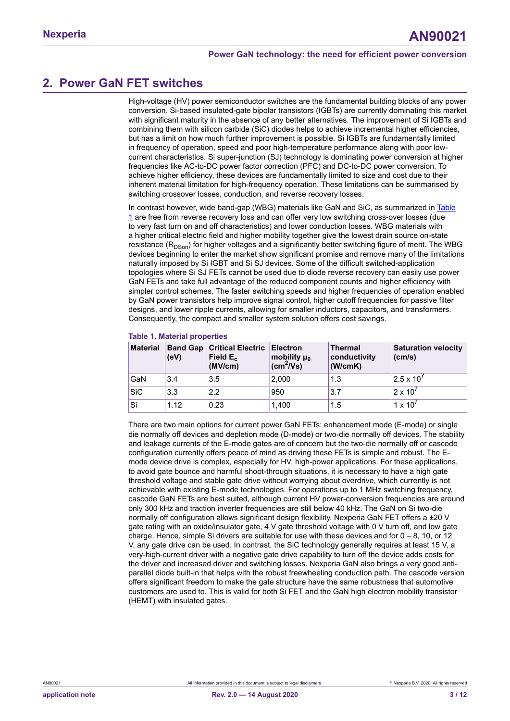### <span id="page-2-1"></span>**2. Power GaN FET switches**

High-voltage (HV) power semiconductor switches are the fundamental building blocks of any power conversion. Si-based insulated-gate bipolar transistors (IGBTs) are currently dominating this market with significant maturity in the absence of any better alternatives. The improvement of Si IGBTs and combining them with silicon carbide (SiC) diodes helps to achieve incremental higher efficiencies, but has a limit on how much further improvement is possible. Si IGBTs are fundamentally limited in frequency of operation, speed and poor high-temperature performance along with poor lowcurrent characteristics. Si super-junction (SJ) technology is dominating power conversion at higher frequencies like AC-to-DC power factor correction (PFC) and DC-to-DC power conversion. To achieve higher efficiency, these devices are fundamentally limited to size and cost due to their inherent material limitation for high-frequency operation. These limitations can be summarised by switching crossover losses, conduction, and reverse recovery losses.

In contrast however, wide band-gap (WBG) materials like GaN and SiC, as summarized in [Table](#page-2-0) [1](#page-2-0) are free from reverse recovery loss and can offer very low switching cross-over losses (due to very fast turn on and off characteristics) and lower conduction losses. WBG materials with a higher critical electric field and higher mobility together give the lowest drain source on-state resistance  $(R_{DSon})$  for higher voltages and a significantly better switching figure of merit. The WBG devices beginning to enter the market show significant promise and remove many of the limitations naturally imposed by Si IGBT and Si SJ devices. Some of the difficult switched-application topologies where Si SJ FETs cannot be used due to diode reverse recovery can easily use power GaN FETs and take full advantage of the reduced component counts and higher efficiency with simpler control schemes. The faster switching speeds and higher frequencies of operation enabled by GaN power transistors help improve signal control, higher cutoff frequencies for passive filter designs, and lower ripple currents, allowing for smaller inductors, capacitors, and transformers. Consequently, the compact and smaller system solution offers cost savings.

| <b>Material</b> | (eV) | <b>Band Gap Critical Electric</b><br>Field $E_c$<br>(MV/cm) | <b>Electron</b><br>mobility $\mu_0$<br>$(cm^2/Vs)$ | <b>Thermal</b><br>conductivity<br>(W/cmK) | <b>Saturation velocity</b><br>(cm/s) |
|-----------------|------|-------------------------------------------------------------|----------------------------------------------------|-------------------------------------------|--------------------------------------|
| GaN             | 3.4  | 3.5                                                         | 2.000                                              | 1.3                                       | $2.5 \times 10'$                     |
| <b>SiC</b>      | 3.3  | 2.2                                                         | 950                                                | 3.7                                       | $2 \times 10^{7}$                    |
| Si              | 1.12 | 0.23                                                        | 1,400                                              | 1.5                                       | $1 \times 10^{7}$                    |

#### <span id="page-2-0"></span>**Table 1. Material properties**

There are two main options for current power GaN FETs: enhancement mode (E-mode) or single die normally off devices and depletion mode (D-mode) or two-die normally off devices. The stability and leakage currents of the E-mode gates are of concern but the two-die normally off or cascode configuration currently offers peace of mind as driving these FETs is simple and robust. The Emode device drive is complex, especially for HV, high-power applications. For these applications, to avoid gate bounce and harmful shoot-through situations, it is necessary to have a high gate threshold voltage and stable gate drive without worrying about overdrive, which currently is not achievable with existing E-mode technologies. For operations up to 1 MHz switching frequency, cascode GaN FETs are best suited, although current HV power-conversion frequencies are around only 300 kHz and traction inverter frequencies are still below 40 kHz. The GaN on Si two-die normally off configuration allows significant design flexibility. Nexperia GaN FET offers a ±20 V gate rating with an oxide/insulator gate, 4 V gate threshold voltage with 0 V turn off, and low gate charge. Hence, simple Si drivers are suitable for use with these devices and for  $0 - 8$ , 10, or 12 V, any gate drive can be used. In contrast, the SiC technology generally requires at least 15 V, a very-high-current driver with a negative gate drive capability to turn off the device adds costs for the driver and increased driver and switching losses. Nexperia GaN also brings a very good antiparallel diode built-in that helps with the robust freewheeling conduction path. The cascode version offers significant freedom to make the gate structure have the same robustness that automotive customers are used to. This is valid for both Si FET and the GaN high electron mobility transistor (HEMT) with insulated gates.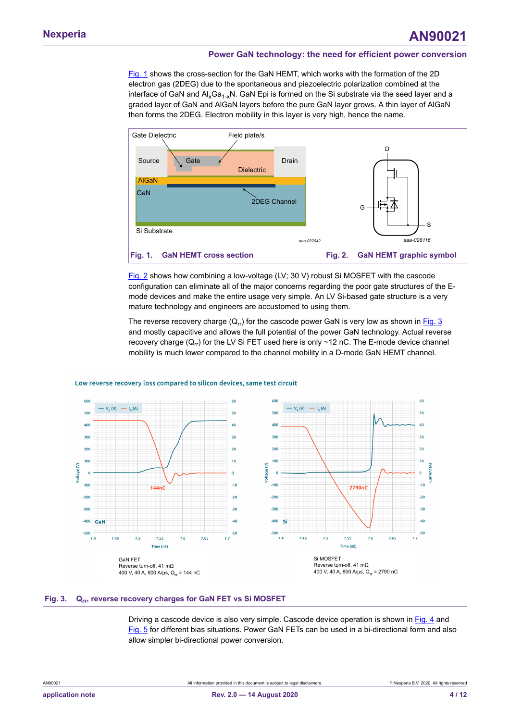[Fig. 1](#page-3-0) shows the cross-section for the GaN HEMT, which works with the formation of the 2D electron gas (2DEG) due to the spontaneous and piezoelectric polarization combined at the interface of GaN and  $Al_xGa_{1-x}N$ . GaN Epi is formed on the Si substrate via the seed layer and a graded layer of GaN and AlGaN layers before the pure GaN layer grows. A thin layer of AlGaN then forms the 2DEG. Electron mobility in this layer is very high, hence the name.

<span id="page-3-1"></span><span id="page-3-0"></span>

[Fig. 2](#page-3-1) shows how combining a low-voltage (LV; 30 V) robust Si MOSFET with the cascode configuration can eliminate all of the major concerns regarding the poor gate structures of the Emode devices and make the entire usage very simple. An LV Si-based gate structure is a very mature technology and engineers are accustomed to using them.

The reverse recovery charge  $(Q<sub>rr</sub>)$  for the cascode power GaN is very low as shown in [Fig. 3](#page-3-2) and mostly capacitive and allows the full potential of the power GaN technology. Actual reverse recovery charge  $(Q_{rr})$  for the LV Si FET used here is only  $\sim$ 12 nC. The E-mode device channel mobility is much lower compared to the channel mobility in a D-mode GaN HEMT channel.

<span id="page-3-2"></span>

#### **Fig. 3. Qrr, reverse recovery charges for GaN FET vs Si MOSFET**

Driving a cascode device is also very simple. Cascode device operation is shown in [Fig. 4](#page-4-0) and [Fig. 5](#page-4-1) for different bias situations. Power GaN FETs can be used in a bi-directional form and also allow simpler bi-directional power conversion.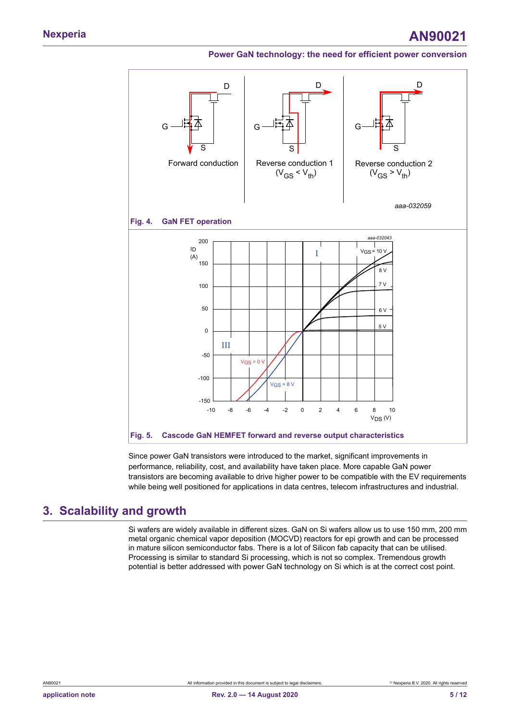<span id="page-4-1"></span><span id="page-4-0"></span>

Since power GaN transistors were introduced to the market, significant improvements in performance, reliability, cost, and availability have taken place. More capable GaN power transistors are becoming available to drive higher power to be compatible with the EV requirements while being well positioned for applications in data centres, telecom infrastructures and industrial.

### <span id="page-4-2"></span>**3. Scalability and growth**

Si wafers are widely available in different sizes. GaN on Si wafers allow us to use 150 mm, 200 mm metal organic chemical vapor deposition (MOCVD) reactors for epi growth and can be processed in mature silicon semiconductor fabs. There is a lot of Silicon fab capacity that can be utilised. Processing is similar to standard Si processing, which is not so complex. Tremendous growth potential is better addressed with power GaN technology on Si which is at the correct cost point.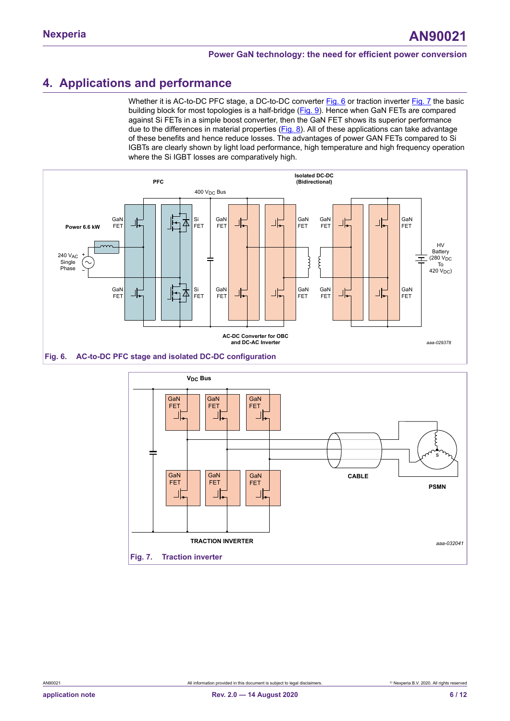### <span id="page-5-2"></span>**4. Applications and performance**

Whether it is AC-to-DC PFC stage, a DC-to-DC converter [Fig. 6](#page-5-0) or traction inverter [Fig. 7](#page-5-1) the basic building block for most topologies is a half-bridge ([Fig. 9](#page-6-0)). Hence when GaN FETs are compared against Si FETs in a simple boost converter, then the GaN FET shows its superior performance due to the differences in material properties [\(Fig. 8\)](#page-6-1). All of these applications can take advantage of these benefits and hence reduce losses. The advantages of power GAN FETs compared to Si IGBTs are clearly shown by light load performance, high temperature and high frequency operation where the Si IGBT losses are comparatively high.

<span id="page-5-0"></span>

<span id="page-5-1"></span>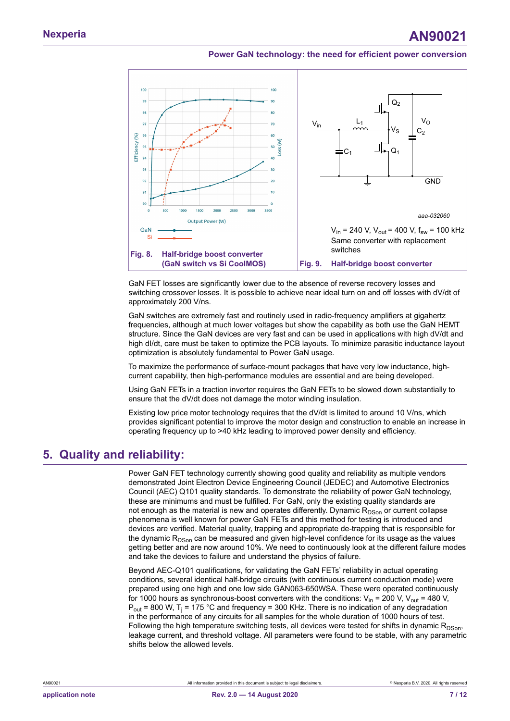<span id="page-6-1"></span><span id="page-6-0"></span>

GaN FET losses are significantly lower due to the absence of reverse recovery losses and switching crossover losses. It is possible to achieve near ideal turn on and off losses with dV/dt of approximately 200 V/ns.

GaN switches are extremely fast and routinely used in radio-frequency amplifiers at gigahertz frequencies, although at much lower voltages but show the capability as both use the GaN HEMT structure. Since the GaN devices are very fast and can be used in applications with high dV/dt and high dI/dt, care must be taken to optimize the PCB layouts. To minimize parasitic inductance layout optimization is absolutely fundamental to Power GaN usage.

To maximize the performance of surface-mount packages that have very low inductance, highcurrent capability, then high-performance modules are essential and are being developed.

Using GaN FETs in a traction inverter requires the GaN FETs to be slowed down substantially to ensure that the dV/dt does not damage the motor winding insulation.

Existing low price motor technology requires that the dV/dt is limited to around 10 V/ns, which provides significant potential to improve the motor design and construction to enable an increase in operating frequency up to >40 kHz leading to improved power density and efficiency.

### <span id="page-6-2"></span>**5. Quality and reliability:**

Power GaN FET technology currently showing good quality and reliability as multiple vendors demonstrated Joint Electron Device Engineering Council (JEDEC) and Automotive Electronics Council (AEC) Q101 quality standards. To demonstrate the reliability of power GaN technology, these are minimums and must be fulfilled. For GaN, only the existing quality standards are not enough as the material is new and operates differently. Dynamic  $R_{DSon}$  or current collapse phenomena is well known for power GaN FETs and this method for testing is introduced and devices are verified. Material quality, trapping and appropriate de-trapping that is responsible for the dynamic  $R_{DSon}$  can be measured and given high-level confidence for its usage as the values getting better and are now around 10%. We need to continuously look at the different failure modes and take the devices to failure and understand the physics of failure.

Beyond AEC-Q101 qualifications, for validating the GaN FETs' reliability in actual operating conditions, several identical half-bridge circuits (with continuous current conduction mode) were prepared using one high and one low side GAN063-650WSA. These were operated continuously for 1000 hours as synchronous-boost converters with the conditions:  $V_{in}$  = 200 V,  $V_{out}$  = 480 V, P<sub>out</sub> = 800 W, T<sub>j</sub> = 175 °C and frequency = 300 KHz. There is no indication of any degradation in the performance of any circuits for all samples for the whole duration of 1000 hours of test. Following the high temperature switching tests, all devices were tested for shifts in dynamic  $R_{DSon}$ , leakage current, and threshold voltage. All parameters were found to be stable, with any parametric shifts below the allowed levels.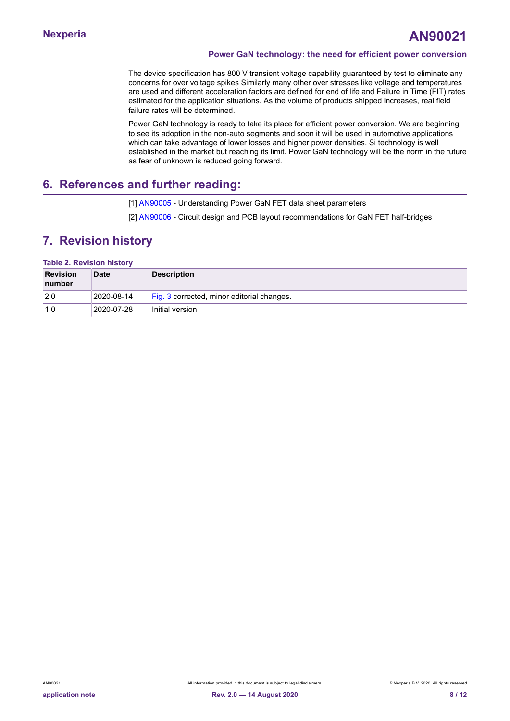The device specification has 800 V transient voltage capability guaranteed by test to eliminate any concerns for over voltage spikes Similarly many other over stresses like voltage and temperatures are used and different acceleration factors are defined for end of life and Failure in Time (FIT) rates estimated for the application situations. As the volume of products shipped increases, real field failure rates will be determined.

Power GaN technology is ready to take its place for efficient power conversion. We are beginning to see its adoption in the non-auto segments and soon it will be used in automotive applications which can take advantage of lower losses and higher power densities. Si technology is well established in the market but reaching its limit. Power GaN technology will be the norm in the future as fear of unknown is reduced going forward.

### <span id="page-7-1"></span>**6. References and further reading:**

[1] **AN90005** - Understanding Power GaN FET data sheet parameters

<span id="page-7-0"></span>[2] **AN90006** - Circuit design and PCB layout recommendations for GaN FET half-bridges

### <span id="page-7-2"></span>**7. Revision history**

| <b>Table 2. Revision history</b> |             |                                            |  |
|----------------------------------|-------------|--------------------------------------------|--|
| <b>Revision</b><br>number        | <b>Date</b> | <b>Description</b>                         |  |
| 2.0                              | 2020-08-14  | Fig. 3 corrected, minor editorial changes. |  |
| 1.0                              | 2020-07-28  | Initial version                            |  |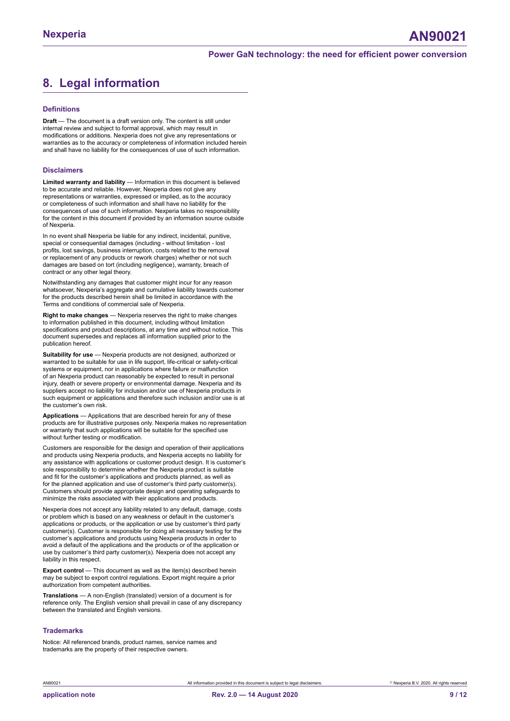### <span id="page-8-0"></span>**8. Legal information**

#### **Definitions**

**Draft** — The document is a draft version only. The content is still under internal review and subject to formal approval, which may result in modifications or additions. Nexperia does not give any representations or warranties as to the accuracy or completeness of information included herein and shall have no liability for the consequences of use of such information.

#### **Disclaimers**

**Limited warranty and liability** — Information in this document is believed to be accurate and reliable. However, Nexperia does not give any representations or warranties, expressed or implied, as to the accuracy or completeness of such information and shall have no liability for the consequences of use of such information. Nexperia takes no responsibility for the content in this document if provided by an information source outside of Nexperia.

In no event shall Nexperia be liable for any indirect, incidental, punitive, special or consequential damages (including - without limitation - lost profits, lost savings, business interruption, costs related to the removal or replacement of any products or rework charges) whether or not such damages are based on tort (including negligence), warranty, breach of contract or any other legal theory.

Notwithstanding any damages that customer might incur for any reason whatsoever, Nexperia's aggregate and cumulative liability towards customer for the products described herein shall be limited in accordance with the Terms and conditions of commercial sale of Nexperia.

**Right to make changes** — Nexperia reserves the right to make changes to information published in this document, including without limitation specifications and product descriptions, at any time and without notice. This document supersedes and replaces all information supplied prior to the publication hereof.

**Suitability for use** — Nexperia products are not designed, authorized or warranted to be suitable for use in life support, life-critical or safety-critical systems or equipment, nor in applications where failure or malfunction of an Nexperia product can reasonably be expected to result in personal injury, death or severe property or environmental damage. Nexperia and its suppliers accept no liability for inclusion and/or use of Nexperia products in such equipment or applications and therefore such inclusion and/or use is at the customer's own risk.

**Applications** — Applications that are described herein for any of these products are for illustrative purposes only. Nexperia makes no representation or warranty that such applications will be suitable for the specified use without further testing or modification.

Customers are responsible for the design and operation of their applications and products using Nexperia products, and Nexperia accepts no liability for any assistance with applications or customer product design. It is customer's sole responsibility to determine whether the Nexperia product is suitable and fit for the customer's applications and products planned, as well as for the planned application and use of customer's third party customer(s). Customers should provide appropriate design and operating safeguards to minimize the risks associated with their applications and products.

Nexperia does not accept any liability related to any default, damage, costs or problem which is based on any weakness or default in the customer's applications or products, or the application or use by customer's third party customer(s). Customer is responsible for doing all necessary testing for the customer's applications and products using Nexperia products in order to avoid a default of the applications and the products or of the application or use by customer's third party customer(s). Nexperia does not accept any liability in this respect.

**Export control** — This document as well as the item(s) described herein may be subject to export control regulations. Export might require a prior authorization from competent authorities.

**Translations** — A non-English (translated) version of a document is for reference only. The English version shall prevail in case of any discrepancy between the translated and English versions.

#### **Trademarks**

Notice: All referenced brands, product names, service names and trademarks are the property of their respective owners.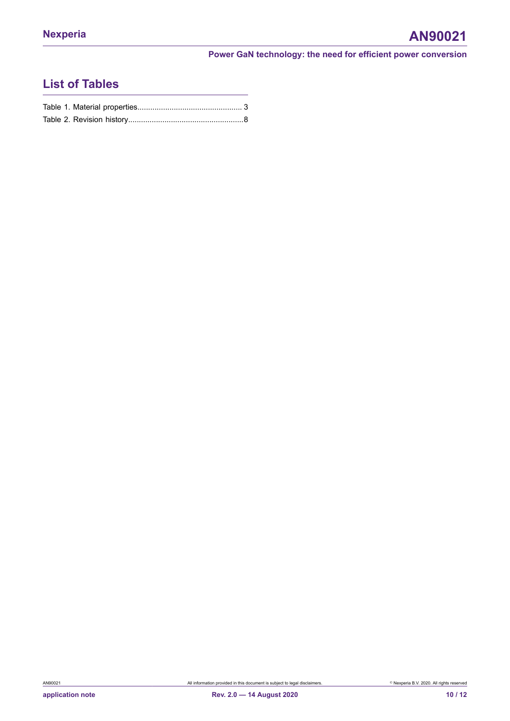### **List of Tables**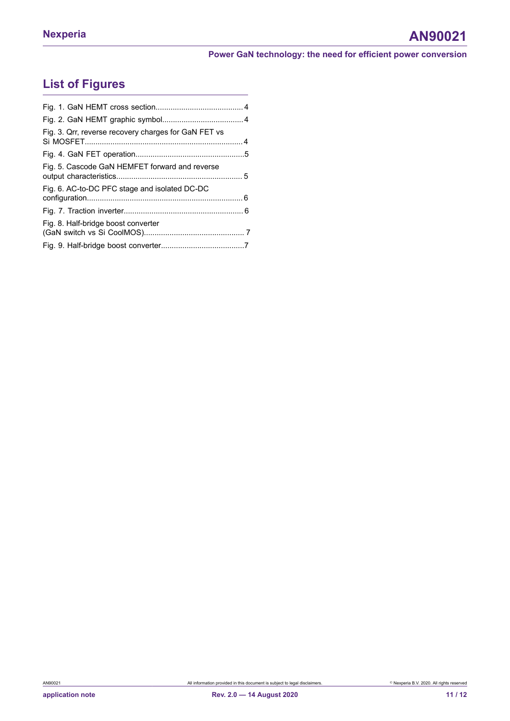## **List of Figures**

| Fig. 3. Qrr, reverse recovery charges for GaN FET vs |  |
|------------------------------------------------------|--|
|                                                      |  |
| Fig. 5. Cascode GaN HEMFET forward and reverse       |  |
| Fig. 6. AC-to-DC PFC stage and isolated DC-DC        |  |
|                                                      |  |
| Fig. 8. Half-bridge boost converter                  |  |
|                                                      |  |